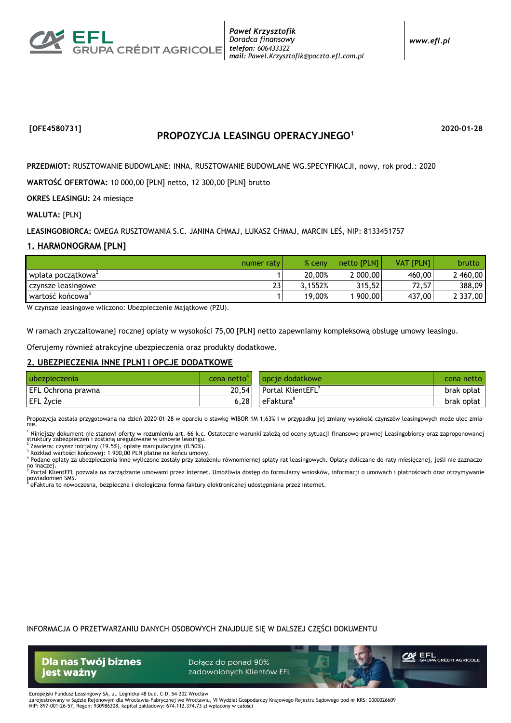

www.efl.pl

## [OFE4580731]

# PROPOZYCJA LEASINGU OPERACYJNEGO<sup>1</sup>

2020-01-28

PRZEDMIOT: RUSZTOWANIE BUDOWLANE: INNA, RUSZTOWANIE BUDOWLANE WG. SPECYFIKACJI, nowy, rok prod.: 2020

WARTOŚĆ OFERTOWA: 10 000,00 [PLN] netto, 12 300,00 [PLN] brutto

**OKRES LEASINGU: 24 miesiące** 

**WALUTA: [PLN]** 

LEASINGOBIORCA: OMEGA RUSZTOWANIA S.C. JANINA CHMAJ, ŁUKASZ CHMAJ, MARCIN LEŚ, NIP: 8133451757

#### 1. HARMONOGRAM [PLN]

| numer raty                     | $%$ ceny | netto [PLN] | <b>VAT [PLN]</b> | <b>brutto</b> |
|--------------------------------|----------|-------------|------------------|---------------|
| wpłata początkowa <sup>2</sup> | 20,00%   | 2 000,00    | 460.00           | 2460,00       |
| າາ<br>czynsze leasingowe<br>د، | 3.1552%  | 315.52      | 72,57            | 388.09        |
| wartość końcowa <sup>3</sup>   | 19,00%   | 900,00      | 437,00           | 2 337,00      |

W czynsze leasingowe wliczono: Ubezpieczenie Majątkowe (PZU).

W ramach zryczałtowanej rocznej opłaty w wysokości 75,00 [PLN] netto zapewniamy kompleksową obsługę umowy leasingu.

Oferujemy również atrakcyjne ubezpieczenia oraz produkty dodatkowe.

#### 2. UBEZPIECZENIA INNE [PLN] I OPCJE DODATKOWE

| l ubezpieczenia    | cena netto <sup>-</sup> | l opcie dodatkowe.      | cena netto |
|--------------------|-------------------------|-------------------------|------------|
| EFL Ochrona prawna | 20.54                   | <b>Portal KlientEFL</b> | brak opłat |
| EFL Życie          | 6.28                    | eFaktura'               | brak opłat |

Propozycja została przygotowana na dzień 2020-01-28 w oparciu o stawkę WIBOR 1M 1,63% i w przypadku jej zmiany wysokość czynszów leasingowych może ulec zmia-

<sup>1</sup> Niniejszy dokument nie stanowi oferty w rozumieniu art. 66 k.c. Ostateczne warunki zależą od oceny sytuacji finansowo-prawnej Leasingobiorcy oraz zaproponowanej<br>struktury zabezpieczeń i zostaną uregulowane w umowie lea

Rozkład wartości końcowej: 1 900,00 PLN płatne na końcu umowy.

4 Podane opłaty za ubezpieczenia inne wyliczone zostały przy założeniu równomiernej spłaty rat leasingowych. Opłaty doliczane do raty miesięcznej, jeśli nie zaznaczono inaczei

7 Portal KlientEFL pozwala na zarządzanie umowami przez Internet. Umożliwia dostęp do formularzy wniosków, informacji o umowach i płatnościach oraz otrzymywanie powiadomień SMS <sup>i</sup> eFaktura to nowoczesna, bezpieczna i ekologiczna forma faktury elektronicznej udostępniana przez Internet.

INFORMACJA O PRZETWARZANIU DANYCH OSOBOWYCH ZNAJDUJE SIE W DALSZEJ CZEŚCI DOKUMENTU

**Dla nas Twój biznes** jest ważny

Dołącz do ponad 90% zadowolonych Klientów EFL



Europejski Fundusz Leasingowy SA, ul. Legnicka 48 bud. C-D, 54-202 Wrocław Exampla in www. Lauranger, y w. Lauranger and a Charles Capital Charles Capital Charles Capital Charles Capital Charles Capital Charles Capital Charles Capital Charles Capital Charles Capital Charles Capital Charles Capita NIP: 897-001-26-57, Regon: 930986308, kapitał zakładowy: 674.112.374,73 zł wpłacony w całości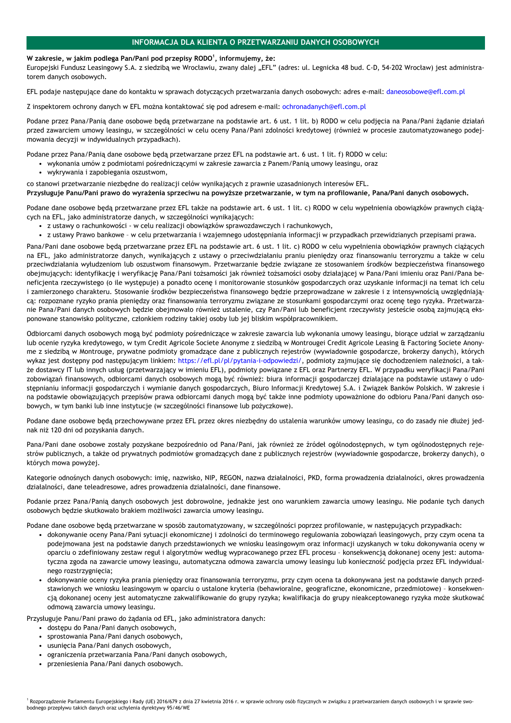### INFORMACJA DLA KLIENTA O PRZETWARZANIU DANYCH OSOBOWYCH

#### W zakresie, w jakim podlega Pan/Pani pod przepisy RODO<sup>1</sup>, informujemy, że:

Europejski Fundusz Leasingowy S.A. z siedzibą we Wrocławiu, zwany dalej "EFL" (adres: ul. Legnicka 48 bud. C-D, 54-202 Wrocław) jest administratorem danych osobowych.

EFL podaje nastepujące dane do kontaktu w sprawach dotyczących przetwarzania danych osobowych: adres e-mail: daneosobowe@efl.com.pl

Z inspektorem ochrony danych w EFL można kontaktować się pod adresem e-mail: ochronadanych@efl.com.pl

Podane przez Pana/Panią dane osobowe będą przetwarzane na podstawie art. 6 ust. 1 lit. b) RODO w celu podjęcia na Pana/Pani żądanie działań przed zawarciem umowy leasingu, w szczególności w celu oceny Pana/Pani zdolności kredytowej (również w procesie zautomatyzowanego podejmowania decyzji w indywidualnych przypadkach).

Podane przez Pana/Panią dane osobowe będą przetwarzane przez EFL na podstawie art. 6 ust. 1 lit. f) RODO w celu:

- · wykonania umów z podmiotami pośredniczącymi w zakresie zawarcia z Panem/Panią umowy leasingu, oraz
- wykrywania i zapobiegania oszustwom,

co stanowi przetwarzanie niezbędne do realizacji celów wynikających z prawnie uzasadnionych interesów EFL.

Przysługuje Panu/Pani prawo do wyrażenia sprzeciwu na powyższe przetwarzanie, w tym na profilowanie, Pana/Pani danych osobowych.

Podane dane osobowe będą przetwarzane przez EFL także na podstawie art. 6 ust. 1 lit. c) RODO w celu wypełnienia obowiązków prawnych ciążących na EFL, jako administratorze danych, w szczególności wynikających:

- · z ustawy o rachunkowości w celu realizacji obowiązków sprawozdawczych i rachunkowych,
- · z ustawy Prawo bankowe w celu przetwarzania i wzajemnego udostępniania informacji w przypadkach przewidzianych przepisami prawa.

Pana/Pani dane osobowe będą przetwarzane przez EFL na podstawie art. 6 ust. 1 lit. c) RODO w celu wypełnienia obowiązków prawnych ciążących na EFL, jako administratorze danych, wynikających z ustawy o przeciwdziałaniu praniu pieniędzy oraz finansowaniu terroryzmu a także w celu przeciwdziałania wyłudzeniom lub oszustwom finansowym. Przetwarzanie będzie związane ze stosowaniem środków bezpieczeństwa finansowego obejmujących: identyfikację i weryfikację Pana/Pani tożsamości jak również tożsamości osoby działającej w Pana/Pani imieniu oraz Pani/Pana beneficjenta rzeczywistego (o ile występuje) a ponadto ocenę i monitorowanie stosunków gospodarczych oraz uzyskanie informacji na temat ich celu i zamierzonego charakteru. Stosowanie środków bezpieczeństwa finansowego bedzie przeprowadzane w zakresie i z intensywnością uwzgledniającą: rozpoznane ryzyko prania pieniędzy oraz finansowania terroryzmu związane ze stosunkami gospodarczymi oraz ocenę tego ryzyka. Przetwarzanie Pana/Pani danych osobowych będzie obejmowało również ustalenie, czy Pan/Pani lub beneficjent rzeczywisty jesteście osobą zajmującą eksponowane stanowisko polityczne, członkiem rodziny takiej osoby lub jej bliskim współpracownikiem.

Odbiorcami danych osobowych mogą być podmioty pośredniczące w zakresie zawarcia lub wykonania umowy leasingu, biorące udział w zarządzaniu lub ocenie ryzyka kredytowego, w tym Credit Agricole Societe Anonyme z siedzibą w Montrougei Credit Agricole Leasing & Factoring Societe Anonyme z siedzibą w Montrouge, prywatne podmioty gromadzące dane z publicznych rejestrów (wywiadownie gospodarcze, brokerzy danych), których wykaz jest dostępny pod następującym linkiem: https://efl.pl/pl/pytania-i-odpowiedzi/, podmioty zajmujące się dochodzeniem należności, a także dostawcy IT lub innych usług (przetwarzający w imieniu EFL), podmioty powiązane z EFL oraz Partnerzy EFL. W przypadku weryfikacji Pana/Pani zobowiązań finansowych, odbiorcami danych osobowych mogą być również: biura informacji gospodarczej działające na podstawie ustawy o udostępnianiu informacji gospodarczych i wymianie danych gospodarczych, Biuro Informacji Kredytowej S.A. i Związek Banków Polskich. W zakresie i na podstawie obowiązujących przepisów prawa odbiorcami danych mogą być także inne podmioty upoważnione do odbioru Pana/Pani danych osobowych, w tym banki lub inne instytucje (w szczególności finansowe lub pożyczkowe).

Podane dane osobowe będą przechowywane przez EFL przez okres niezbędny do ustalenia warunków umowy leasingu, co do zasady nie dłużej jednak niż 120 dni od pozyskania danych.

Pana/Pani dane osobowe zostały pozyskane bezpośrednio od Pana/Pani, jak również ze źródeł ogólnodostępnych, w tym ogólnodostępnych rejestrów publicznych, a także od prywatnych podmiotów gromadzących dane z publicznych rejestrów (wywiadownie gospodarcze, brokerzy danych), o których mowa powyżej.

Kategorie odnośnych danych osobowych: imię, nazwisko, NIP, REGON, nazwa działalności, PKD, forma prowadzenia działalności, okres prowadzenia działalności, dane teleadresowe, adres prowadzenia działalności, dane finansowe.

Podanie przez Pana/Panią danych osobowych jest dobrowolne, jednakże jest ono warunkiem zawarcia umowy leasingu. Nie podanie tych danych osobowych będzie skutkowało brakiem możliwości zawarcia umowy leasingu.

Podane dane osobowe będą przetwarzane w sposób zautomatyzowany, w szczególności poprzez profilowanie, w następujących przypadkach:

- · dokonywanie oceny Pana/Pani sytuacji ekonomicznej i zdolności do terminowego regulowania zobowiązań leasingowych, przy czym ocena ta podejmowana jest na podstawie danych przedstawionych we wniosku leasingowym oraz informacji uzyskanych w toku dokonywania oceny w oparciu o zdefiniowany zestaw reguł i algorytmów według wypracowanego przez EFL procesu - konsekwencia dokonanej oceny jest: automatyczna zgoda na zawarcie umowy leasingu, automatyczna odmowa zawarcia umowy leasingu lub konieczność podiecia przez EFL indywidualnego rozstrzygniecja:
- · dokonywanie oceny ryzyka prania pieniędzy oraz finansowania terroryzmu, przy czym ocena ta dokonywana jest na podstawie danych przedstawionych we wniosku leasingowym w oparciu o ustalone kryteria (behawioralne, geograficzne, ekonomiczne, przedmiotowe) - konsekwencją dokonanej oceny jest automatyczne zakwalifikowanie do grupy ryzyka; kwalifikacja do grupy nieakceptowanego ryzyka może skutkować odmową zawarcia umowy leasingu.

Przysługuje Panu/Pani prawo do żądania od EFL, jako administratora danych:

- · dostępu do Pana/Pani danych osobowych,
- · sprostowania Pana/Pani danych osobowych,
- usunięcia Pana/Pani danych osobowych,
- ograniczenia przetwarzania Pana/Pani danych osobowych,
- · przeniesienia Pana/Pani danych osobowych.